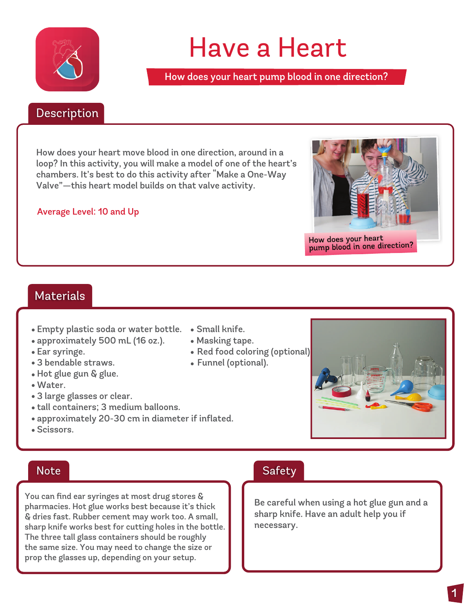

# Have a Heart

How does your heart pump blood in one direction?

#### Description Description

How does your heart move blood in one direction, around in a loop? In this activity, you will make a model of one of the heart's chambers. It's best to do this activity after "Make a One-Way Valve"—this heart model builds on that valve activity.

#### Average Level: 10 and Up



#### Materials

- . Empty plastic soda or water bottle. Small knife. .
- . approximately 500 mL (16 oz.). Masking tape. . .
- 
- •Ear syringe.<br>•3 bendable straws.
- 3 bendable straws.<br>• Hot glue gun & glue.
- Hot glu<br>• Water.
- Water.<br>• 3 large glasses or clear.
- 3 large glasses or clear.<br>• tall containers; 3 medium balloons.
- tall containers; 3 medium balloons.<br>• approximately 20-30 cm in diameter if inflated.
- approxim<br>• Scissors.
- 
- Masking tape.
- Red food coloring (optional)
- 3 bendable straws. Funnel (optional). .



#### **Note**

You can find ear syringes at most drug stores & pharmacies. Hot glue works best because it's thick & dries fast. Rubber cement may work too. A small, sharp knife works best for cutting holes in the bottle. The three tall glass containers should be roughly the same size. You may need to change the size or prop the glasses up, depending on your setup.

#### Safety

Be careful when using a hot glue gun and a sharp knife. Have an adult help you if necessary.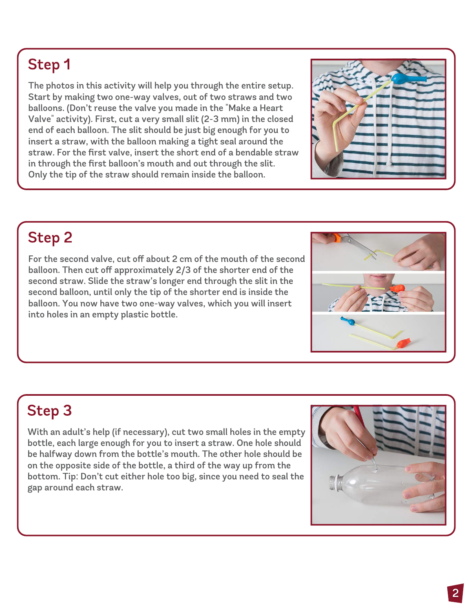The photos in this activity will help you through the entire setup. Start by making two one-way valves, out of two straws and two balloons. (Don't reuse the valve you made in the "Make a Heart Valve" activity). First, cut a very small slit (2-3 mm) in the closed end of each balloon. The slit should be just big enough for you to insert a straw, with the balloon making a tight seal around the straw. For the first valve, insert the short end of a bendable straw in through the first balloon's mouth and out through the slit. Only the tip of the straw should remain inside the balloon.



### **Step 2**

For the second valve, cut off about 2 cm of the mouth of the second balloon. Then cut off approximately 2/3 of the shorter end of the second straw. Slide the straw's longer end through the slit in the second balloon, until only the tip of the shorter end is inside the balloon. You now have two one-way valves, which you will insert into holes in an empty plastic bottle.



# **Step 3**

With an adult's help (if necessary), cut two small holes in the empty bottle, each large enough for you to insert a straw. One hole should be halfway down from the bottle's mouth. The other hole should be on the opposite side of the bottle, a third of the way up from the bottom. Tip: Don't cut either hole too big, since you need to seal the gap around each straw.

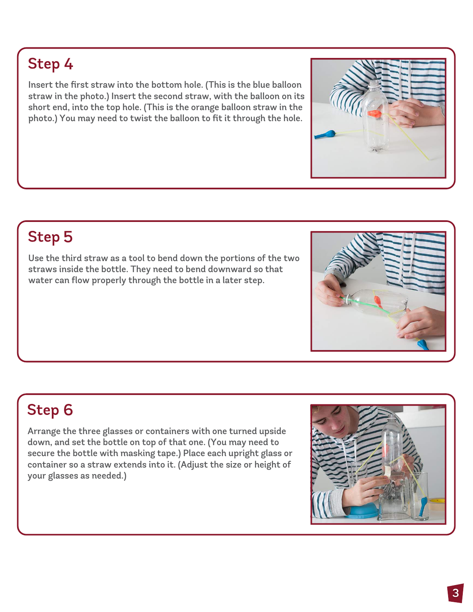Insert the first straw into the bottom hole. (This is the blue balloon straw in the photo.) Insert the second straw, with the balloon on its short end, into the top hole. (This is the orange balloon straw in the photo.) You may need to twist the balloon to fit it through the hole.

# **Step 5**

Use the third straw as a tool to bend down the portions of the two straws inside the bottle. They need to bend downward so that water can flow properly through the bottle in a later step.

# **Step 6**

Arrange the three glasses or containers with one turned upside down, and set the bottle on top of that one. (You may need to secure the bottle with masking tape.) Place each upright glass or container so a straw extends into it. (Adjust the size or height of your glasses as needed.)





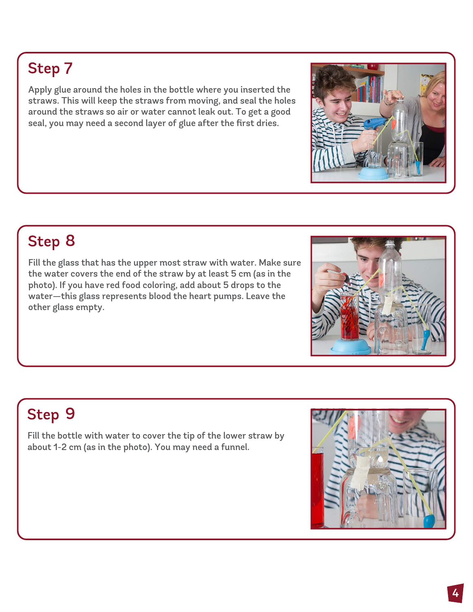Apply glue around the holes in the bottle where you inserted the straws. This will keep the straws from moving, and seal the holes around the straws so air or water cannot leak out. To get a good seal, you may need a second layer of glue after the first dries.

# Step 8

Fill the glass that has the upper most straw with water. Make sure the water covers the end of the straw by at least 5 cm (as in the photo). If you have red food coloring, add about 5 drops to the water—this glass represents blood the heart pumps. Leave the other glass empty.

# Step 9

Fill the bottle with water to cover the tip of the lower straw by about 1-2 cm (as in the photo). You may need a funnel.





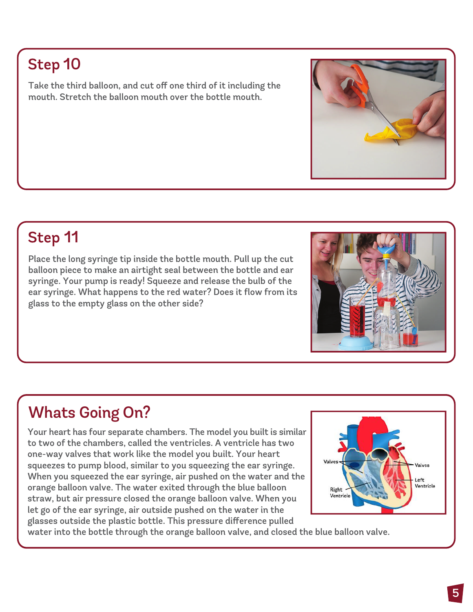Take the third balloon, and cut off one third of it including the mouth. Stretch the balloon mouth over the bottle mouth.

# Step 11

Place the long syringe tip inside the bottle mouth. Pull up the cut balloon piece to make an airtight seal between the bottle and ear syringe. Your pump is ready! Squeeze and release the bulb of the ear syringe. What happens to the red water? Does it flow from its glass to the empty glass on the other side?

# Whats Going On?

Your heart has four separate chambers. The model you built is similar to two of the chambers, called the ventricles. A ventricle has two one-way valves that work like the model you built. Your heart squeezes to pump blood, similar to you squeezing the ear syringe. When you squeezed the ear syringe, air pushed on the water and the orange balloon valve. The water exited through the blue balloon straw, but air pressure closed the orange balloon valve. When you let go of the ear syringe, air outside pushed on the water in the glasses outside the plastic bottle. This pressure difference pulled

water into the bottle through the orange balloon valve, and closed the blue balloon valve.





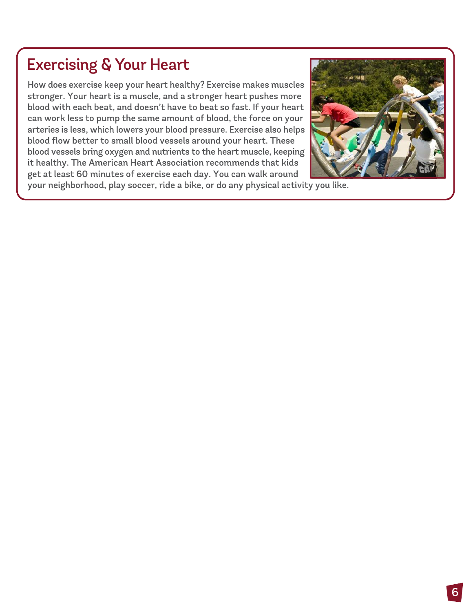### **Exercising & Your Heart**

How does exercise keep your heart healthy? Exercise makes muscles stronger. Your heart is a muscle, and a stronger heart pushes more blood with each beat, and doesn't have to beat so fast. If your heart can work less to pump the same amount of blood, the force on your arteries is less, which lowers your blood pressure. Exercise also helps blood flow better to small blood vessels around your heart. These blood vessels bring oxygen and nutrients to the heart muscle, keeping it healthy. The American Heart Association recommends that kids get at least 60 minutes of exercise each day. You can walk around



your neighborhood, play soccer, ride a bike, or do any physical activity you like.